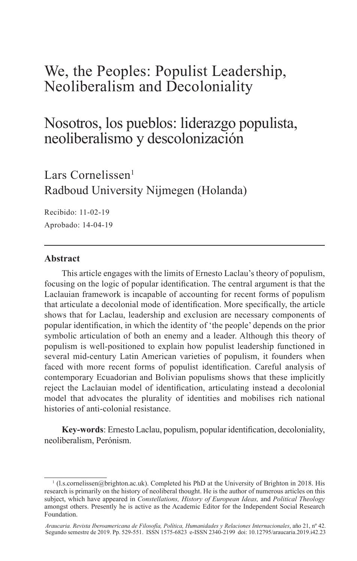# We, the Peoples: Populist Leadership, Neoliberalism and Decoloniality

## Nosotros, los pueblos: liderazgo populista, neoliberalismo y descolonización

Lars Cornelissen $<sup>1</sup>$ </sup> Radboud University Nijmegen (Holanda)

Recibido: 11-02-19 Aprobado: 14-04-19

## **Abstract**

This article engages with the limits of Ernesto Laclau's theory of populism, focusing on the logic of popular identification. The central argument is that the Laclauian framework is incapable of accounting for recent forms of populism that articulate a decolonial mode of identification. More specifically, the article shows that for Laclau, leadership and exclusion are necessary components of popular identification, in which the identity of 'the people' depends on the prior symbolic articulation of both an enemy and a leader. Although this theory of populism is well-positioned to explain how populist leadership functioned in several mid-century Latin American varieties of populism, it founders when faced with more recent forms of populist identification. Careful analysis of contemporary Ecuadorian and Bolivian populisms shows that these implicitly reject the Laclauian model of identification, articulating instead a decolonial model that advocates the plurality of identities and mobilises rich national histories of anti-colonial resistance.

**Key-words**: Ernesto Laclau, populism, popular identification, decoloniality, neoliberalism, Perónism.

<sup>1</sup> (l.s.cornelissen@brighton.ac.uk). Completed his PhD at the University of Brighton in 2018. His research is primarily on the history of neoliberal thought. He is the author of numerous articles on this subject, which have appeared in *Constellations, History of European Ideas,* and *Political Theology*  amongst others. Presently he is active as the Academic Editor for the Independent Social Research Foundation.

*Araucaria. Revista Iberoamericana de Filosofía, Política, Humanidades y Relaciones Internacionales*, año 21, nº 42. Segundo semestre de 2019. Pp. 529-551. ISSN 1575-6823 e-ISSN 2340-2199 doi: 10.12795/araucaria.2019.i42.23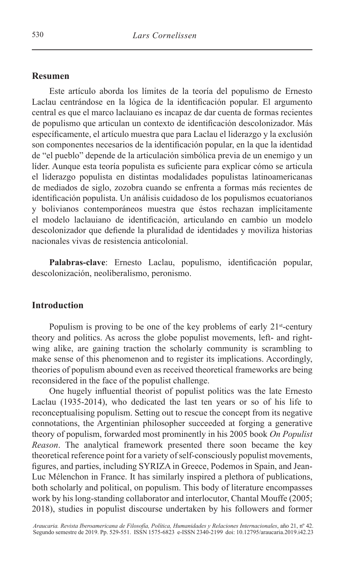#### **Resumen**

Este artículo aborda los límites de la teoría del populismo de Ernesto Laclau centrándose en la lógica de la identificación popular. El argumento central es que el marco laclauiano es incapaz de dar cuenta de formas recientes de populismo que articulan un contexto de identificación descolonizador. Más específicamente, el artículo muestra que para Laclau el liderazgo y la exclusión son componentes necesarios de la identificación popular, en la que la identidad de "el pueblo" depende de la articulación simbólica previa de un enemigo y un líder. Aunque esta teoría populista es suficiente para explicar cómo se articula el liderazgo populista en distintas modalidades populistas latinoamericanas de mediados de siglo, zozobra cuando se enfrenta a formas más recientes de identificación populista. Un análisis cuidadoso de los populismos ecuatorianos y bolivianos contemporáneos muestra que éstos rechazan implícitamente el modelo laclauiano de identificación, articulando en cambio un modelo descolonizador que defiende la pluralidad de identidades y moviliza historias nacionales vivas de resistencia anticolonial.

**Palabras-clave**: Ernesto Laclau, populismo, identificación popular, descolonización, neoliberalismo, peronismo.

## **Introduction**

Populism is proving to be one of the key problems of early 21<sup>st</sup>-century theory and politics. As across the globe populist movements, left- and rightwing alike, are gaining traction the scholarly community is scrambling to make sense of this phenomenon and to register its implications. Accordingly, theories of populism abound even as received theoretical frameworks are being reconsidered in the face of the populist challenge.

One hugely influential theorist of populist politics was the late Ernesto Laclau (1935-2014), who dedicated the last ten years or so of his life to reconceptualising populism. Setting out to rescue the concept from its negative connotations, the Argentinian philosopher succeeded at forging a generative theory of populism, forwarded most prominently in his 2005 book *On Populist Reason*. The analytical framework presented there soon became the key theoretical reference point for a variety of self-consciously populist movements, figures, and parties, including SYRIZA in Greece, Podemos in Spain, and Jean-Luc Mélenchon in France. It has similarly inspired a plethora of publications, both scholarly and political, on populism. This body of literature encompasses work by his long-standing collaborator and interlocutor, Chantal Mouffe (2005; 2018), studies in populist discourse undertaken by his followers and former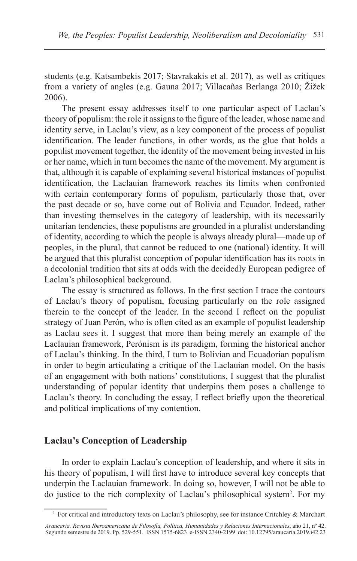students (e.g. Katsambekis 2017; Stavrakakis et al. 2017), as well as critiques from a variety of angles (e.g. Gauna 2017; Villacañas Berlanga 2010; Žižek 2006).

The present essay addresses itself to one particular aspect of Laclau's theory of populism: the role it assigns to the figure of the leader, whose name and identity serve, in Laclau's view, as a key component of the process of populist identification. The leader functions, in other words, as the glue that holds a populist movement together, the identity of the movement being invested in his or her name, which in turn becomes the name of the movement. My argument is that, although it is capable of explaining several historical instances of populist identification, the Laclauian framework reaches its limits when confronted with certain contemporary forms of populism, particularly those that, over the past decade or so, have come out of Bolivia and Ecuador. Indeed, rather than investing themselves in the category of leadership, with its necessarily unitarian tendencies, these populisms are grounded in a pluralist understanding of identity, according to which the people is always already plural—made up of peoples, in the plural, that cannot be reduced to one (national) identity. It will be argued that this pluralist conception of popular identification has its roots in a decolonial tradition that sits at odds with the decidedly European pedigree of Laclau's philosophical background.

The essay is structured as follows. In the first section I trace the contours of Laclau's theory of populism, focusing particularly on the role assigned therein to the concept of the leader. In the second I reflect on the populist strategy of Juan Perón, who is often cited as an example of populist leadership as Laclau sees it. I suggest that more than being merely an example of the Laclauian framework, Perónism is its paradigm, forming the historical anchor of Laclau's thinking. In the third, I turn to Bolivian and Ecuadorian populism in order to begin articulating a critique of the Laclauian model. On the basis of an engagement with both nations' constitutions, I suggest that the pluralist understanding of popular identity that underpins them poses a challenge to Laclau's theory. In concluding the essay, I reflect briefly upon the theoretical and political implications of my contention.

#### **Laclau's Conception of Leadership**

In order to explain Laclau's conception of leadership, and where it sits in his theory of populism, I will first have to introduce several key concepts that underpin the Laclauian framework. In doing so, however, I will not be able to do justice to the rich complexity of Laclau's philosophical system2 . For my

 $2$  For critical and introductory texts on Laclau's philosophy, see for instance Critchley  $\&$  Marchart

*Araucaria. Revista Iberoamericana de Filosofía, Política, Humanidades y Relaciones Internacionales*, año 21, nº 42. Segundo semestre de 2019. Pp. 529-551. ISSN 1575-6823 e-ISSN 2340-2199 doi: 10.12795/araucaria.2019.i42.23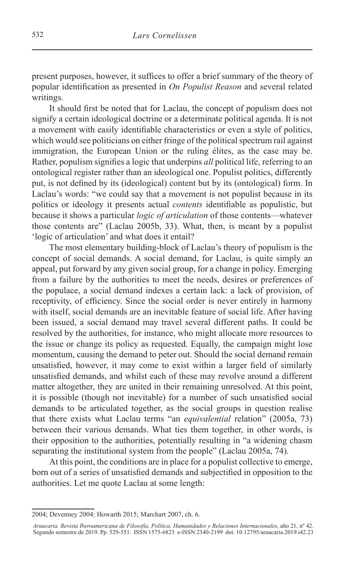present purposes, however, it suffices to offer a brief summary of the theory of popular identification as presented in *On Populist Reason* and several related writings.

It should first be noted that for Laclau, the concept of populism does not signify a certain ideological doctrine or a determinate political agenda. It is not a movement with easily identifiable characteristics or even a style of politics, which would see politicians on either fringe of the political spectrum rail against immigration, the European Union or the ruling élites, as the case may be. Rather, populism signifies a logic that underpins *all* political life, referring to an ontological register rather than an ideological one. Populist politics, differently put, is not defined by its (ideological) content but by its (ontological) form. In Laclau's words: "we could say that a movement is not populist because in its politics or ideology it presents actual *contents* identifiable as populistic, but because it shows a particular *logic of articulation* of those contents—whatever those contents are" (Laclau 2005b, 33). What, then, is meant by a populist 'logic of articulation' and what does it entail?

The most elementary building-block of Laclau's theory of populism is the concept of social demands. A social demand, for Laclau, is quite simply an appeal, put forward by any given social group, for a change in policy. Emerging from a failure by the authorities to meet the needs, desires or preferences of the populace, a social demand indexes a certain lack: a lack of provision, of receptivity, of efficiency. Since the social order is never entirely in harmony with itself, social demands are an inevitable feature of social life. After having been issued, a social demand may travel several different paths. It could be resolved by the authorities, for instance, who might allocate more resources to the issue or change its policy as requested. Equally, the campaign might lose momentum, causing the demand to peter out. Should the social demand remain unsatisfied, however, it may come to exist within a larger field of similarly unsatisfied demands, and whilst each of these may revolve around a different matter altogether, they are united in their remaining unresolved. At this point, it is possible (though not inevitable) for a number of such unsatisfied social demands to be articulated together, as the social groups in question realise that there exists what Laclau terms "an *equivalential* relation" (2005a, 73) between their various demands. What ties them together, in other words, is their opposition to the authorities, potentially resulting in "a widening chasm separating the institutional system from the people" (Laclau 2005a, 74).

At this point, the conditions are in place for a populist collective to emerge, born out of a series of unsatisfied demands and subjectified in opposition to the authorities. Let me quote Laclau at some length:

<sup>2004;</sup> Devenney 2004; Howarth 2015; Marchart 2007, ch. 6.

*Araucaria. Revista Iberoamericana de Filosofía, Política, Humanidades y Relaciones Internacionales*, año 21, nº 42. Segundo semestre de 2019. Pp. 529-551. ISSN 1575-6823 e-ISSN 2340-2199 doi: 10.12795/araucaria.2019.i42.23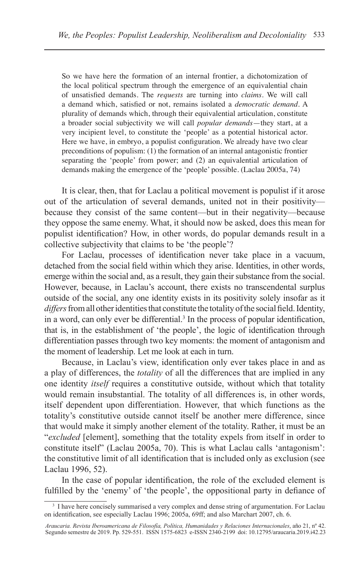So we have here the formation of an internal frontier, a dichotomization of the local political spectrum through the emergence of an equivalential chain of unsatisfied demands. The *requests* are turning into *claims*. We will call a demand which, satisfied or not, remains isolated a *democratic demand*. A plurality of demands which, through their equivalential articulation, constitute a broader social subjectivity we will call *popular demands*—they start, at a very incipient level, to constitute the 'people' as a potential historical actor. Here we have, in embryo, a populist configuration. We already have two clear preconditions of populism: (1) the formation of an internal antagonistic frontier separating the 'people' from power; and (2) an equivalential articulation of demands making the emergence of the 'people' possible. (Laclau 2005a, 74)

It is clear, then, that for Laclau a political movement is populist if it arose out of the articulation of several demands, united not in their positivity because they consist of the same content—but in their negativity—because they oppose the same enemy. What, it should now be asked, does this mean for populist identification? How, in other words, do popular demands result in a collective subjectivity that claims to be 'the people'?

For Laclau, processes of identification never take place in a vacuum, detached from the social field within which they arise. Identities, in other words, emerge within the social and, as a result, they gain their substance from the social. However, because, in Laclau's account, there exists no transcendental surplus outside of the social, any one identity exists in its positivity solely insofar as it *differs* from all other identities that constitute the totality of the social field. Identity, in a word, can only ever be differential.<sup>3</sup> In the process of popular identification, that is, in the establishment of 'the people', the logic of identification through differentiation passes through two key moments: the moment of antagonism and the moment of leadership. Let me look at each in turn.

Because, in Laclau's view, identification only ever takes place in and as a play of differences, the *totality* of all the differences that are implied in any one identity *itself* requires a constitutive outside, without which that totality would remain insubstantial. The totality of all differences is, in other words, itself dependent upon differentiation. However, that which functions as the totality's constitutive outside cannot itself be another mere difference, since that would make it simply another element of the totality. Rather, it must be an "*excluded* [element], something that the totality expels from itself in order to constitute itself" (Laclau 2005a, 70). This is what Laclau calls 'antagonism': the constitutive limit of all identification that is included only as exclusion (see Laclau 1996, 52).

In the case of popular identification, the role of the excluded element is fulfilled by the 'enemy' of 'the people', the oppositional party in defiance of

<sup>&</sup>lt;sup>3</sup> I have here concisely summarised a very complex and dense string of argumentation. For Laclau on identification, see especially Laclau 1996; 2005a, 69ff; and also Marchart 2007, ch. 6.

*Araucaria. Revista Iberoamericana de Filosofía, Política, Humanidades y Relaciones Internacionales*, año 21, nº 42. Segundo semestre de 2019. Pp. 529-551. ISSN 1575-6823 e-ISSN 2340-2199 doi: 10.12795/araucaria.2019.i42.23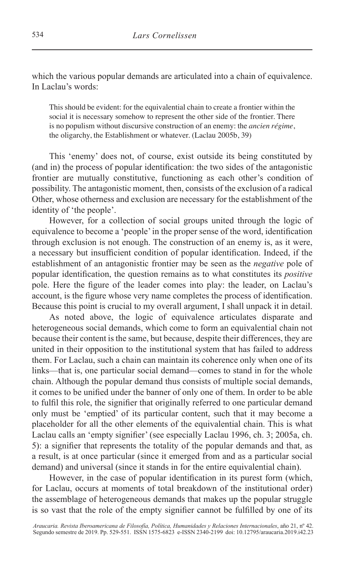which the various popular demands are articulated into a chain of equivalence. In Laclau's words:

This should be evident: for the equivalential chain to create a frontier within the social it is necessary somehow to represent the other side of the frontier. There is no populism without discursive construction of an enemy: the *ancien régime*, the oligarchy, the Establishment or whatever. (Laclau 2005b, 39)

This 'enemy' does not, of course, exist outside its being constituted by (and in) the process of popular identification: the two sides of the antagonistic frontier are mutually constitutive, functioning as each other's condition of possibility. The antagonistic moment, then, consists of the exclusion of a radical Other, whose otherness and exclusion are necessary for the establishment of the identity of 'the people'.

However, for a collection of social groups united through the logic of equivalence to become a 'people' in the proper sense of the word, identification through exclusion is not enough. The construction of an enemy is, as it were, a necessary but insufficient condition of popular identification. Indeed, if the establishment of an antagonistic frontier may be seen as the *negative* pole of popular identification, the question remains as to what constitutes its *positive* pole. Here the figure of the leader comes into play: the leader, on Laclau's account, is the figure whose very name completes the process of identification. Because this point is crucial to my overall argument, I shall unpack it in detail.

As noted above, the logic of equivalence articulates disparate and heterogeneous social demands, which come to form an equivalential chain not because their content is the same, but because, despite their differences, they are united in their opposition to the institutional system that has failed to address them. For Laclau, such a chain can maintain its coherence only when one of its links—that is, one particular social demand—comes to stand in for the whole chain. Although the popular demand thus consists of multiple social demands, it comes to be unified under the banner of only one of them. In order to be able to fulfil this role, the signifier that originally referred to one particular demand only must be 'emptied' of its particular content, such that it may become a placeholder for all the other elements of the equivalential chain. This is what Laclau calls an 'empty signifier' (see especially Laclau 1996, ch. 3; 2005a, ch. 5): a signifier that represents the totality of the popular demands and that, as a result, is at once particular (since it emerged from and as a particular social demand) and universal (since it stands in for the entire equivalential chain).

However, in the case of popular identification in its purest form (which, for Laclau, occurs at moments of total breakdown of the institutional order) the assemblage of heterogeneous demands that makes up the popular struggle is so vast that the role of the empty signifier cannot be fulfilled by one of its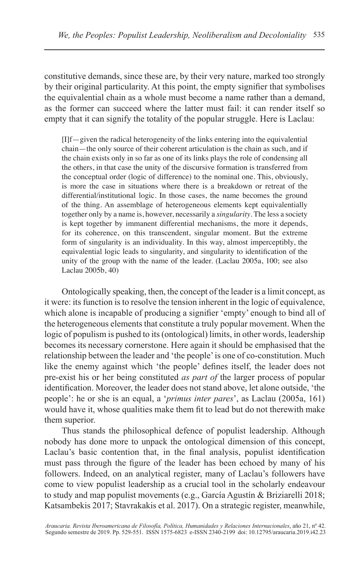constitutive demands, since these are, by their very nature, marked too strongly by their original particularity. At this point, the empty signifier that symbolises the equivalential chain as a whole must become a name rather than a demand, as the former can succeed where the latter must fail: it can render itself so empty that it can signify the totality of the popular struggle. Here is Laclau:

[I]f—given the radical heterogeneity of the links entering into the equivalential chain—the only source of their coherent articulation is the chain as such, and if the chain exists only in so far as one of its links plays the role of condensing all the others, in that case the unity of the discursive formation is transferred from the conceptual order (logic of difference) to the nominal one. This, obviously, is more the case in situations where there is a breakdown or retreat of the differential/institutional logic. In those cases, the name becomes the ground of the thing. An assemblage of heterogeneous elements kept equivalentially together only by a name is, however, necessarily a *singularity*. The less a society is kept together by immanent differential mechanisms, the more it depends, for its coherence, on this transcendent, singular moment. But the extreme form of singularity is an individuality. In this way, almost imperceptibly, the equivalential logic leads to singularity, and singularity to identification of the unity of the group with the name of the leader. (Laclau 2005a, 100; see also Laclau 2005b, 40)

Ontologically speaking, then, the concept of the leader is a limit concept, as it were: its function is to resolve the tension inherent in the logic of equivalence, which alone is incapable of producing a signifier 'empty' enough to bind all of the heterogeneous elements that constitute a truly popular movement. When the logic of populism is pushed to its (ontological) limits, in other words, leadership becomes its necessary cornerstone. Here again it should be emphasised that the relationship between the leader and 'the people' is one of co-constitution. Much like the enemy against which 'the people' defines itself, the leader does not pre-exist his or her being constituted *as part of* the larger process of popular identification. Moreover, the leader does not stand above, let alone outside, 'the people': he or she is an equal, a '*primus inter pares*', as Laclau (2005a, 161) would have it, whose qualities make them fit to lead but do not therewith make them superior.

Thus stands the philosophical defence of populist leadership. Although nobody has done more to unpack the ontological dimension of this concept, Laclau's basic contention that, in the final analysis, populist identification must pass through the figure of the leader has been echoed by many of his followers. Indeed, on an analytical register, many of Laclau's followers have come to view populist leadership as a crucial tool in the scholarly endeavour to study and map populist movements (e.g., García Agustín & Briziarelli 2018; Katsambekis 2017; Stavrakakis et al. 2017). On a strategic register, meanwhile,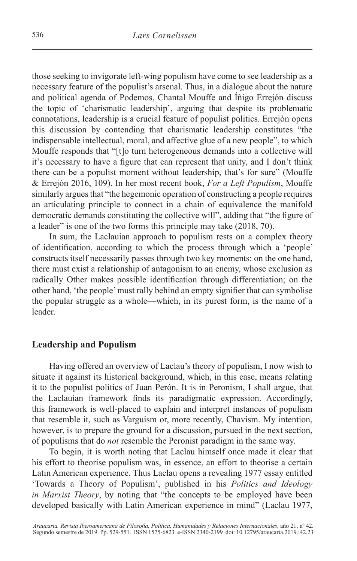those seeking to invigorate left-wing populism have come to see leadership as a necessary feature of the populist's arsenal. Thus, in a dialogue about the nature and political agenda of Podemos, Chantal Mouffe and Íñigo Errejón discuss the topic of 'charismatic leadership', arguing that despite its problematic connotations, leadership is a crucial feature of populist politics. Errejón opens this discussion by contending that charismatic leadership constitutes "the indispensable intellectual, moral, and affective glue of a new people", to which Mouffe responds that "[t]o turn heterogeneous demands into a collective will it's necessary to have a figure that can represent that unity, and I don't think there can be a populist moment without leadership, that's for sure" (Mouffe & Errejón 2016, 109). In her most recent book, *For a Left Populism*, Mouffe similarly argues that "the hegemonic operation of constructing a people requires an articulating principle to connect in a chain of equivalence the manifold democratic demands constituting the collective will", adding that "the figure of a leader" is one of the two forms this principle may take (2018, 70).

In sum, the Laclauian approach to populism rests on a complex theory of identification, according to which the process through which a 'people' constructs itself necessarily passes through two key moments: on the one hand, there must exist a relationship of antagonism to an enemy, whose exclusion as radically Other makes possible identification through differentiation; on the other hand, 'the people' must rally behind an empty signifier that can symbolise the popular struggle as a whole—which, in its purest form, is the name of a leader.

## **Leadership and Populism**

Having offered an overview of Laclau's theory of populism, I now wish to situate it against its historical background, which, in this case, means relating it to the populist politics of Juan Perón. It is in Peronism, I shall argue, that the Laclauian framework finds its paradigmatic expression. Accordingly, this framework is well-placed to explain and interpret instances of populism that resemble it, such as Varguism or, more recently, Chavism. My intention, however, is to prepare the ground for a discussion, pursued in the next section, of populisms that do *not* resemble the Peronist paradigm in the same way.

To begin, it is worth noting that Laclau himself once made it clear that his effort to theorise populism was, in essence, an effort to theorise a certain Latin American experience. Thus Laclau opens a revealing 1977 essay entitled 'Towards a Theory of Populism', published in his *Politics and Ideology in Marxist Theory*, by noting that "the concepts to be employed have been developed basically with Latin American experience in mind" (Laclau 1977,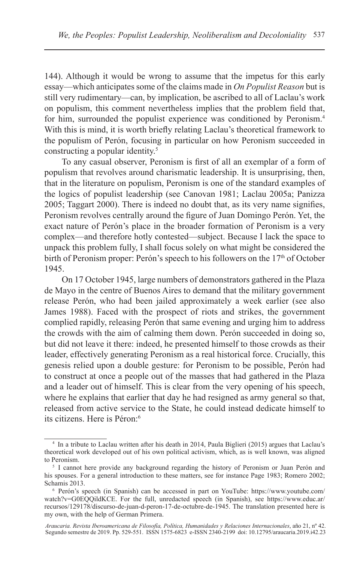144). Although it would be wrong to assume that the impetus for this early essay—which anticipates some of the claims made in *On Populist Reason* but is still very rudimentary—can, by implication, be ascribed to all of Laclau's work on populism, this comment nevertheless implies that the problem field that, for him, surrounded the populist experience was conditioned by Peronism.<sup>4</sup> With this is mind, it is worth briefly relating Laclau's theoretical framework to the populism of Perón, focusing in particular on how Peronism succeeded in constructing a popular identity.<sup>5</sup>

To any casual observer, Peronism is first of all an exemplar of a form of populism that revolves around charismatic leadership. It is unsurprising, then, that in the literature on populism, Peronism is one of the standard examples of the logics of populist leadership (see Canovan 1981; Laclau 2005a; Panizza 2005; Taggart 2000). There is indeed no doubt that, as its very name signifies, Peronism revolves centrally around the figure of Juan Domingo Perón. Yet, the exact nature of Perón's place in the broader formation of Peronism is a very complex—and therefore hotly contested—subject. Because I lack the space to unpack this problem fully, I shall focus solely on what might be considered the birth of Peronism proper: Perón's speech to his followers on the  $17<sup>th</sup>$  of October 1945.

On 17 October 1945, large numbers of demonstrators gathered in the Plaza de Mayo in the centre of Buenos Aires to demand that the military government release Perón, who had been jailed approximately a week earlier (see also James 1988). Faced with the prospect of riots and strikes, the government complied rapidly, releasing Perón that same evening and urging him to address the crowds with the aim of calming them down. Perón succeeded in doing so, but did not leave it there: indeed, he presented himself to those crowds as their leader, effectively generating Peronism as a real historical force. Crucially, this genesis relied upon a double gesture: for Peronism to be possible, Perón had to construct at once a people out of the masses that had gathered in the Plaza and a leader out of himself. This is clear from the very opening of his speech, where he explains that earlier that day he had resigned as army general so that, released from active service to the State, he could instead dedicate himself to its citizens. Here is Péron:<sup>6</sup>

<sup>4</sup> In a tribute to Laclau written after his death in 2014, Paula Biglieri (2015) argues that Laclau's theoretical work developed out of his own political activism, which, as is well known, was aligned to Peronism.

<sup>5</sup> I cannot here provide any background regarding the history of Peronism or Juan Perón and his spouses. For a general introduction to these matters, see for instance Page 1983; Romero 2002; Schamis 2013.

<sup>6</sup> Perón's speech (in Spanish) can be accessed in part on YouTube: https://www.youtube.com/ watch?v=G0EQQildKCE. For the full, unredacted speech (in Spanish), see https://www.educ.ar/ recursos/129178/discurso-de-juan-d-peron-17-de-octubre-de-1945. The translation presented here is my own, with the help of German Primera.

*Araucaria. Revista Iberoamericana de Filosofía, Política, Humanidades y Relaciones Internacionales*, año 21, nº 42. Segundo semestre de 2019. Pp. 529-551. ISSN 1575-6823 e-ISSN 2340-2199 doi: 10.12795/araucaria.2019.i42.23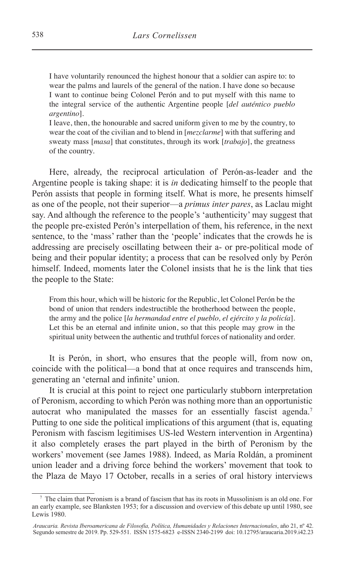I have voluntarily renounced the highest honour that a soldier can aspire to: to wear the palms and laurels of the general of the nation. I have done so because I want to continue being Colonel Perón and to put myself with this name to the integral service of the authentic Argentine people [*del auténtico pueblo argentino*].

I leave, then, the honourable and sacred uniform given to me by the country, to wear the coat of the civilian and to blend in [*mezclarme*] with that suffering and sweaty mass [*masa*] that constitutes, through its work [*trabajo*], the greatness of the country.

Here, already, the reciprocal articulation of Perón-as-leader and the Argentine people is taking shape: it is *in* dedicating himself to the people that Perón assists that people in forming itself. What is more, he presents himself as one of the people, not their superior—a *primus inter pares*, as Laclau might say. And although the reference to the people's 'authenticity' may suggest that the people pre-existed Perón's interpellation of them, his reference, in the next sentence, to the 'mass' rather than the 'people' indicates that the crowds he is addressing are precisely oscillating between their a- or pre-political mode of being and their popular identity; a process that can be resolved only by Perón himself. Indeed, moments later the Colonel insists that he is the link that ties the people to the State:

From this hour, which will be historic for the Republic, let Colonel Perón be the bond of union that renders indestructible the brotherhood between the people, the army and the police [*la hermandad entre el pueblo, el ejército y la policía*]. Let this be an eternal and infinite union, so that this people may grow in the spiritual unity between the authentic and truthful forces of nationality and order.

It is Perón, in short, who ensures that the people will, from now on, coincide with the political—a bond that at once requires and transcends him, generating an 'eternal and infinite' union.

It is crucial at this point to reject one particularly stubborn interpretation of Peronism, according to which Perón was nothing more than an opportunistic autocrat who manipulated the masses for an essentially fascist agenda.<sup>7</sup> Putting to one side the political implications of this argument (that is, equating Peronism with fascism legitimises US-led Western intervention in Argentina) it also completely erases the part played in the birth of Peronism by the workers' movement (see James 1988). Indeed, as María Roldán, a prominent union leader and a driving force behind the workers' movement that took to the Plaza de Mayo 17 October, recalls in a series of oral history interviews

<sup>7</sup> The claim that Peronism is a brand of fascism that has its roots in Mussolinism is an old one. For an early example, see Blanksten 1953; for a discussion and overview of this debate up until 1980, see Lewis 1980.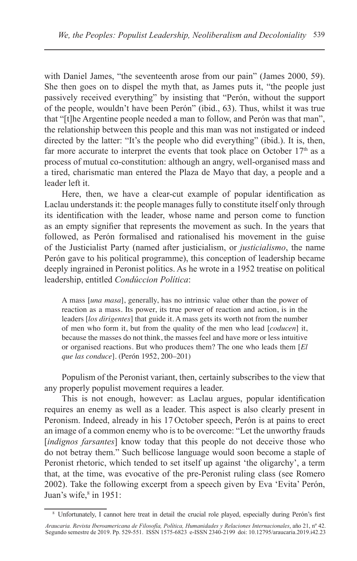with Daniel James, "the seventeenth arose from our pain" (James 2000, 59). She then goes on to dispel the myth that, as James puts it, "the people just passively received everything" by insisting that "Perón, without the support of the people, wouldn't have been Perón" (ibid., 63). Thus, whilst it was true that "[t]he Argentine people needed a man to follow, and Perón was that man", the relationship between this people and this man was not instigated or indeed directed by the latter: "It's the people who did everything" (ibid.). It is, then, far more accurate to interpret the events that took place on October  $17<sup>th</sup>$  as a process of mutual co-constitution: although an angry, well-organised mass and a tired, charismatic man entered the Plaza de Mayo that day, a people and a leader left it.

Here, then, we have a clear-cut example of popular identification as Laclau understands it: the people manages fully to constitute itself only through its identification with the leader, whose name and person come to function as an empty signifier that represents the movement as such. In the years that followed, as Perón formalised and rationalised his movement in the guise of the Justicialist Party (named after justicialism, or *justicialismo*, the name Perón gave to his political programme), this conception of leadership became deeply ingrained in Peronist politics. As he wrote in a 1952 treatise on political leadership, entitled *Condúccion Política*:

A mass [*una masa*], generally, has no intrinsic value other than the power of reaction as a mass. Its power, its true power of reaction and action, is in the leaders [*los dirigentes*] that guide it. A mass gets its worth not from the number of men who form it, but from the quality of the men who lead [*coducen*] it, because the masses do not think, the masses feel and have more or less intuitive or organised reactions. But who produces them? The one who leads them [*El que las conduce*]. (Perón 1952, 200–201)

Populism of the Peronist variant, then, certainly subscribes to the view that any properly populist movement requires a leader.

This is not enough, however: as Laclau argues, popular identification requires an enemy as well as a leader. This aspect is also clearly present in Peronism. Indeed, already in his 17 October speech, Perón is at pains to erect an image of a common enemy who is to be overcome: "Let the unworthy frauds [*indignos farsantes*] know today that this people do not deceive those who do not betray them." Such bellicose language would soon become a staple of Peronist rhetoric, which tended to set itself up against 'the oligarchy', a term that, at the time, was evocative of the pre-Peronist ruling class (see Romero 2002). Take the following excerpt from a speech given by Eva 'Evita' Perón, Juan's wife, $8$  in 1951:

<sup>8</sup> Unfortunately, I cannot here treat in detail the crucial role played, especially during Perón's first

*Araucaria. Revista Iberoamericana de Filosofía, Política, Humanidades y Relaciones Internacionales*, año 21, nº 42. Segundo semestre de 2019. Pp. 529-551. ISSN 1575-6823 e-ISSN 2340-2199 doi: 10.12795/araucaria.2019.i42.23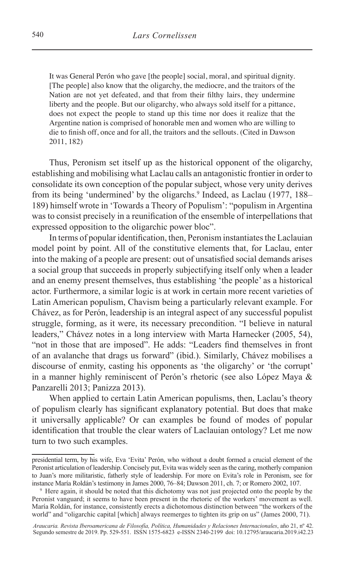It was General Perón who gave [the people] social, moral, and spiritual dignity. [The people] also know that the oligarchy, the mediocre, and the traitors of the Nation are not yet defeated, and that from their filthy lairs, they undermine liberty and the people. But our oligarchy, who always sold itself for a pittance, does not expect the people to stand up this time nor does it realize that the Argentine nation is comprised of honorable men and women who are willing to die to finish off, once and for all, the traitors and the sellouts. (Cited in Dawson 2011, 182)

Thus, Peronism set itself up as the historical opponent of the oligarchy, establishing and mobilising what Laclau calls an antagonistic frontier in order to consolidate its own conception of the popular subject, whose very unity derives from its being 'undermined' by the oligarchs.<sup>9</sup> Indeed, as Laclau (1977, 188– 189) himself wrote in 'Towards a Theory of Populism': "populism in Argentina was to consist precisely in a reunification of the ensemble of interpellations that expressed opposition to the oligarchic power bloc".

In terms of popular identification, then, Peronism instantiates the Laclauian model point by point. All of the constitutive elements that, for Laclau, enter into the making of a people are present: out of unsatisfied social demands arises a social group that succeeds in properly subjectifying itself only when a leader and an enemy present themselves, thus establishing 'the people' as a historical actor. Furthermore, a similar logic is at work in certain more recent varieties of Latin American populism, Chavism being a particularly relevant example. For Chávez, as for Perón, leadership is an integral aspect of any successful populist struggle, forming, as it were, its necessary precondition. "I believe in natural leaders," Chávez notes in a long interview with Marta Harnecker (2005, 54), "not in those that are imposed". He adds: "Leaders find themselves in front of an avalanche that drags us forward" (ibid.). Similarly, Chávez mobilises a discourse of enmity, casting his opponents as 'the oligarchy' or 'the corrupt' in a manner highly reminiscent of Perón's rhetoric (see also López Maya & Panzarelli 2013; Panizza 2013).

When applied to certain Latin American populisms, then, Laclau's theory of populism clearly has significant explanatory potential. But does that make it universally applicable? Or can examples be found of modes of popular identification that trouble the clear waters of Laclauian ontology? Let me now turn to two such examples.

presidential term, by his wife, Eva 'Evita' Perón, who without a doubt formed a crucial element of the Peronist articulation of leadership. Concisely put, Evita was widely seen as the caring, motherly companion to Juan's more militaristic, fatherly style of leadership. For more on Evita's role in Peronism, see for instance María Roldán's testimony in James 2000, 76–84; Dawson 2011, ch. 7; or Romero 2002, 107.

<sup>9</sup> Here again, it should be noted that this dichotomy was not just projected onto the people by the Peronist vanguard; it seems to have been present in the rhetoric of the workers' movement as well. María Roldán, for instance, consistently erects a dichotomous distinction between "the workers of the world" and "oligarchic capital [which] always reemerges to tighten its grip on us" (James 2000, 71).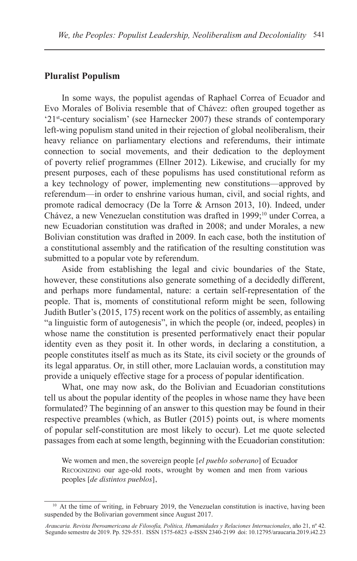#### **Pluralist Populism**

In some ways, the populist agendas of Raphael Correa of Ecuador and Evo Morales of Bolivia resemble that of Chávez: often grouped together as '21st-century socialism' (see Harnecker 2007) these strands of contemporary left-wing populism stand united in their rejection of global neoliberalism, their heavy reliance on parliamentary elections and referendums, their intimate connection to social movements, and their dedication to the deployment of poverty relief programmes (Ellner 2012). Likewise, and crucially for my present purposes, each of these populisms has used constitutional reform as a key technology of power, implementing new constitutions—approved by referendum—in order to enshrine various human, civil, and social rights, and promote radical democracy (De la Torre & Arnson 2013, 10). Indeed, under Chávez, a new Venezuelan constitution was drafted in 1999;<sup>10</sup> under Correa, a new Ecuadorian constitution was drafted in 2008; and under Morales, a new Bolivian constitution was drafted in 2009. In each case, both the institution of a constitutional assembly and the ratification of the resulting constitution was submitted to a popular vote by referendum.

Aside from establishing the legal and civic boundaries of the State, however, these constitutions also generate something of a decidedly different, and perhaps more fundamental, nature: a certain self-representation of the people. That is, moments of constitutional reform might be seen, following Judith Butler's (2015, 175) recent work on the politics of assembly, as entailing "a linguistic form of autogenesis", in which the people (or, indeed, peoples) in whose name the constitution is presented performatively enact their popular identity even as they posit it. In other words, in declaring a constitution, a people constitutes itself as much as its State, its civil society or the grounds of its legal apparatus. Or, in still other, more Laclauian words, a constitution may provide a uniquely effective stage for a process of popular identification.

What, one may now ask, do the Bolivian and Ecuadorian constitutions tell us about the popular identity of the peoples in whose name they have been formulated? The beginning of an answer to this question may be found in their respective preambles (which, as Butler (2015) points out, is where moments of popular self-constitution are most likely to occur). Let me quote selected passages from each at some length, beginning with the Ecuadorian constitution:

We women and men, the sovereign people [*el pueblo soberano*] of Ecuador Recognizing our age-old roots, wrought by women and men from various peoples [*de distintos pueblos*],

<sup>&</sup>lt;sup>10</sup> At the time of writing, in February 2019, the Venezuelan constitution is inactive, having been suspended by the Bolivarian government since August 2017.

*Araucaria. Revista Iberoamericana de Filosofía, Política, Humanidades y Relaciones Internacionales*, año 21, nº 42. Segundo semestre de 2019. Pp. 529-551. ISSN 1575-6823 e-ISSN 2340-2199 doi: 10.12795/araucaria.2019.i42.23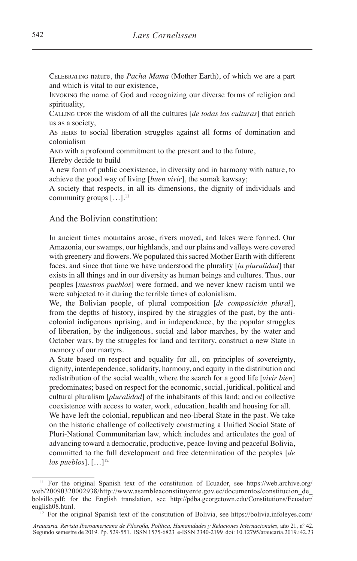Celebrating nature, the *Pacha Mama* (Mother Earth), of which we are a part and which is vital to our existence,

Invoking the name of God and recognizing our diverse forms of religion and spirituality,

Calling upon the wisdom of all the cultures [*de todas las culturas*] that enrich us as a society,

As HEIRS to social liberation struggles against all forms of domination and colonialism

AND with a profound commitment to the present and to the future,

Hereby decide to build

A new form of public coexistence, in diversity and in harmony with nature, to achieve the good way of living [*buen vivir*], the sumak kawsay;

A society that respects, in all its dimensions, the dignity of individuals and community groups  $[\dots]$ .<sup>11</sup>

#### And the Bolivian constitution:

In ancient times mountains arose, rivers moved, and lakes were formed. Our Amazonia, our swamps, our highlands, and our plains and valleys were covered with greenery and flowers. We populated this sacred Mother Earth with different faces, and since that time we have understood the plurality [*la pluralidad*] that exists in all things and in our diversity as human beings and cultures. Thus, our peoples [*nuestros pueblos*] were formed, and we never knew racism until we were subjected to it during the terrible times of colonialism.

We, the Bolivian people, of plural composition [*de composición plural*], from the depths of history, inspired by the struggles of the past, by the anticolonial indigenous uprising, and in independence, by the popular struggles of liberation, by the indigenous, social and labor marches, by the water and October wars, by the struggles for land and territory, construct a new State in memory of our martyrs.

A State based on respect and equality for all, on principles of sovereignty, dignity, interdependence, solidarity, harmony, and equity in the distribution and redistribution of the social wealth, where the search for a good life [*vivir bien*] predominates; based on respect for the economic, social, juridical, political and cultural pluralism [*pluralidad*] of the inhabitants of this land; and on collective coexistence with access to water, work, education, health and housing for all.

We have left the colonial, republican and neo-liberal State in the past. We take on the historic challenge of collectively constructing a Unified Social State of Pluri-National Communitarian law, which includes and articulates the goal of advancing toward a democratic, productive, peace-loving and peaceful Bolivia, committed to the full development and free determination of the peoples [*de*   $log$  pueblos].  $[\dots]^{12}$ 

<sup>11</sup> For the original Spanish text of the constitution of Ecuador, see https://web.archive.org/ web/20090320002938/http://www.asambleaconstituyente.gov.ec/documentos/constitucion\_de\_ bolsillo.pdf; for the English translation, see http://pdba.georgetown.edu/Constitutions/Ecuador/ english08.html.

 $12$  For the original Spanish text of the constitution of Bolivia, see https://bolivia.infoleyes.com/

*Araucaria. Revista Iberoamericana de Filosofía, Política, Humanidades y Relaciones Internacionales*, año 21, nº 42. Segundo semestre de 2019. Pp. 529-551. ISSN 1575-6823 e-ISSN 2340-2199 doi: 10.12795/araucaria.2019.i42.23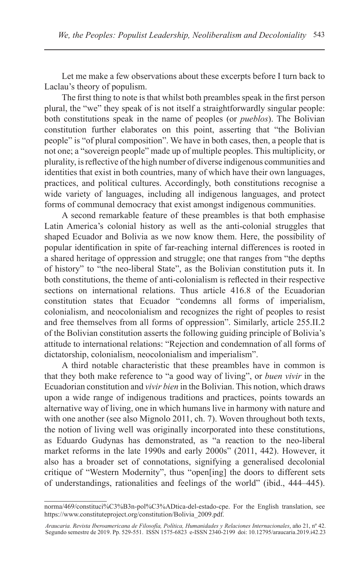Let me make a few observations about these excerpts before I turn back to Laclau's theory of populism.

The first thing to note is that whilst both preambles speak in the first person plural, the "we" they speak of is not itself a straightforwardly singular people: both constitutions speak in the name of peoples (or *pueblos*). The Bolivian constitution further elaborates on this point, asserting that "the Bolivian people" is "of plural composition". We have in both cases, then, a people that is not one; a "sovereign people" made up of multiple peoples. This multiplicity, or plurality, is reflective of the high number of diverse indigenous communities and identities that exist in both countries, many of which have their own languages, practices, and political cultures. Accordingly, both constitutions recognise a wide variety of languages, including all indigenous languages, and protect forms of communal democracy that exist amongst indigenous communities.

A second remarkable feature of these preambles is that both emphasise Latin America's colonial history as well as the anti-colonial struggles that shaped Ecuador and Bolivia as we now know them. Here, the possibility of popular identification in spite of far-reaching internal differences is rooted in a shared heritage of oppression and struggle; one that ranges from "the depths of history" to "the neo-liberal State", as the Bolivian constitution puts it. In both constitutions, the theme of anti-colonialism is reflected in their respective sections on international relations. Thus article 416.8 of the Ecuadorian constitution states that Ecuador "condemns all forms of imperialism, colonialism, and neocolonialism and recognizes the right of peoples to resist and free themselves from all forms of oppression". Similarly, article 255.II.2 of the Bolivian constitution asserts the following guiding principle of Bolivia's attitude to international relations: "Rejection and condemnation of all forms of dictatorship, colonialism, neocolonialism and imperialism".

A third notable characteristic that these preambles have in common is that they both make reference to "a good way of living", or *buen vivir* in the Ecuadorian constitution and *vivir bien* in the Bolivian. This notion, which draws upon a wide range of indigenous traditions and practices, points towards an alternative way of living, one in which humans live in harmony with nature and with one another (see also Mignolo 2011, ch. 7). Woven throughout both texts, the notion of living well was originally incorporated into these constitutions, as Eduardo Gudynas has demonstrated, as "a reaction to the neo-liberal market reforms in the late 1990s and early 2000s" (2011, 442). However, it also has a broader set of connotations, signifying a generalised decolonial critique of "Western Modernity", thus "open[ing] the doors to different sets of understandings, rationalities and feelings of the world" (ibid., 444–445).

norma/469/constituci%C3%B3n-pol%C3%ADtica-del-estado-cpe. For the English translation, see https://www.constituteproject.org/constitution/Bolivia\_2009.pdf.

*Araucaria. Revista Iberoamericana de Filosofía, Política, Humanidades y Relaciones Internacionales*, año 21, nº 42. Segundo semestre de 2019. Pp. 529-551. ISSN 1575-6823 e-ISSN 2340-2199 doi: 10.12795/araucaria.2019.i42.23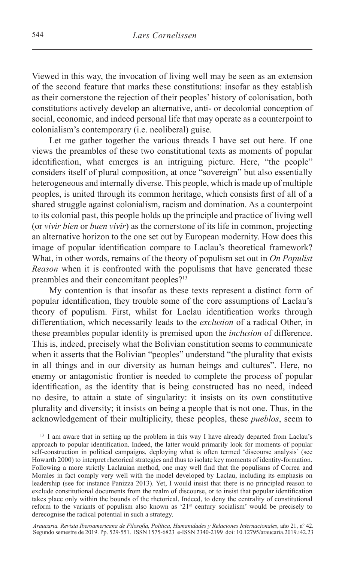Viewed in this way, the invocation of living well may be seen as an extension of the second feature that marks these constitutions: insofar as they establish as their cornerstone the rejection of their peoples' history of colonisation, both constitutions actively develop an alternative, anti- or decolonial conception of social, economic, and indeed personal life that may operate as a counterpoint to colonialism's contemporary (i.e. neoliberal) guise.

Let me gather together the various threads I have set out here. If one views the preambles of these two constitutional texts as moments of popular identification, what emerges is an intriguing picture. Here, "the people" considers itself of plural composition, at once "sovereign" but also essentially heterogeneous and internally diverse. This people, which is made up of multiple peoples, is united through its common heritage, which consists first of all of a shared struggle against colonialism, racism and domination. As a counterpoint to its colonial past, this people holds up the principle and practice of living well (or *vivir bien* or *buen vivir*) as the cornerstone of its life in common, projecting an alternative horizon to the one set out by European modernity. How does this image of popular identification compare to Laclau's theoretical framework? What, in other words, remains of the theory of populism set out in *On Populist Reason* when it is confronted with the populisms that have generated these preambles and their concomitant peoples?<sup>13</sup>

My contention is that insofar as these texts represent a distinct form of popular identification, they trouble some of the core assumptions of Laclau's theory of populism. First, whilst for Laclau identification works through differentiation, which necessarily leads to the *exclusion* of a radical Other, in these preambles popular identity is premised upon the *inclusion* of difference. This is, indeed, precisely what the Bolivian constitution seems to communicate when it asserts that the Bolivian "peoples" understand "the plurality that exists in all things and in our diversity as human beings and cultures". Here, no enemy or antagonistic frontier is needed to complete the process of popular identification, as the identity that is being constructed has no need, indeed no desire, to attain a state of singularity: it insists on its own constitutive plurality and diversity; it insists on being a people that is not one. Thus, in the acknowledgement of their multiplicity, these peoples, these *pueblos*, seem to

<sup>&</sup>lt;sup>13</sup> I am aware that in setting up the problem in this way I have already departed from Laclau's approach to popular identification. Indeed, the latter would primarily look for moments of popular self-construction in political campaigns, deploying what is often termed 'discourse analysis' (see Howarth 2000) to interpret rhetorical strategies and thus to isolate key moments of identity-formation. Following a more strictly Laclauian method, one may well find that the populisms of Correa and Morales in fact comply very well with the model developed by Laclau, including its emphasis on leadership (see for instance Panizza 2013). Yet, I would insist that there is no principled reason to exclude constitutional documents from the realm of discourse, or to insist that popular identification takes place only within the bounds of the rhetorical. Indeed, to deny the centrality of constitutional reform to the variants of populism also known as  $21<sup>st</sup>$  century socialism' would be precisely to derecognise the radical potential in such a strategy.

*Araucaria. Revista Iberoamericana de Filosofía, Política, Humanidades y Relaciones Internacionales*, año 21, nº 42. Segundo semestre de 2019. Pp. 529-551. ISSN 1575-6823 e-ISSN 2340-2199 doi: 10.12795/araucaria.2019.i42.23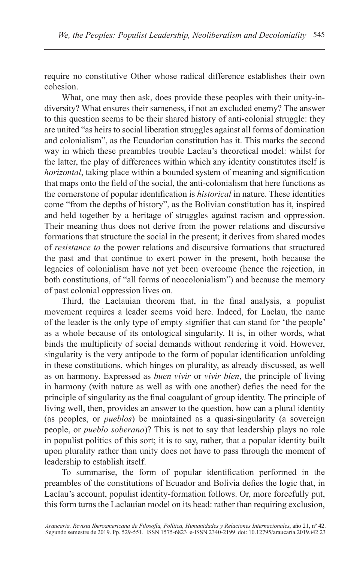require no constitutive Other whose radical difference establishes their own cohesion.

What, one may then ask, does provide these peoples with their unity-indiversity? What ensures their sameness, if not an excluded enemy? The answer to this question seems to be their shared history of anti-colonial struggle: they are united "as heirs to social liberation struggles against all forms of domination and colonialism", as the Ecuadorian constitution has it. This marks the second way in which these preambles trouble Laclau's theoretical model: whilst for the latter, the play of differences within which any identity constitutes itself is *horizontal*, taking place within a bounded system of meaning and signification that maps onto the field of the social, the anti-colonialism that here functions as the cornerstone of popular identification is *historical* in nature. These identities come "from the depths of history", as the Bolivian constitution has it, inspired and held together by a heritage of struggles against racism and oppression. Their meaning thus does not derive from the power relations and discursive formations that structure the social in the present; it derives from shared modes of *resistance to* the power relations and discursive formations that structured the past and that continue to exert power in the present, both because the legacies of colonialism have not yet been overcome (hence the rejection, in both constitutions, of "all forms of neocolonialism") and because the memory of past colonial oppression lives on.

Third, the Laclauian theorem that, in the final analysis, a populist movement requires a leader seems void here. Indeed, for Laclau, the name of the leader is the only type of empty signifier that can stand for 'the people' as a whole because of its ontological singularity. It is, in other words, what binds the multiplicity of social demands without rendering it void. However, singularity is the very antipode to the form of popular identification unfolding in these constitutions, which hinges on plurality, as already discussed, as well as on harmony. Expressed as *buen vivir* or *vivir bien*, the principle of living in harmony (with nature as well as with one another) defies the need for the principle of singularity as the final coagulant of group identity. The principle of living well, then, provides an answer to the question, how can a plural identity (as peoples, or *pueblos*) be maintained as a quasi-singularity (a sovereign people, or *pueblo soberano*)? This is not to say that leadership plays no role in populist politics of this sort; it is to say, rather, that a popular identity built upon plurality rather than unity does not have to pass through the moment of leadership to establish itself.

To summarise, the form of popular identification performed in the preambles of the constitutions of Ecuador and Bolivia defies the logic that, in Laclau's account, populist identity-formation follows. Or, more forcefully put, this form turns the Laclauian model on its head: rather than requiring exclusion,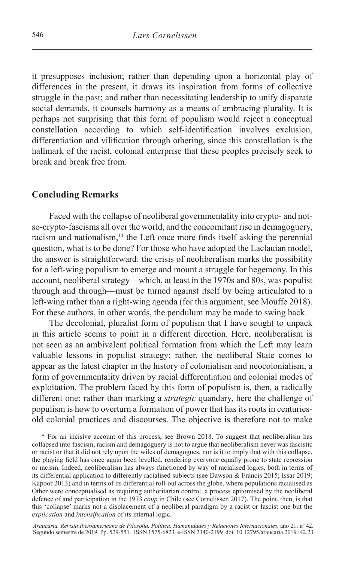it presupposes inclusion; rather than depending upon a horizontal play of differences in the present, it draws its inspiration from forms of collective struggle in the past; and rather than necessitating leadership to unify disparate social demands, it counsels harmony as a means of embracing plurality. It is perhaps not surprising that this form of populism would reject a conceptual constellation according to which self-identification involves exclusion, differentiation and vilification through othering, since this constellation is the hallmark of the racist, colonial enterprise that these peoples precisely seek to break and break free from.

## **Concluding Remarks**

Faced with the collapse of neoliberal governmentality into crypto- and notso-crypto-fascisms all over the world, and the concomitant rise in demagoguery, racism and nationalism, $<sup>14</sup>$  the Left once more finds itself asking the perennial</sup> question, what is to be done? For those who have adopted the Laclauian model, the answer is straightforward: the crisis of neoliberalism marks the possibility for a left-wing populism to emerge and mount a struggle for hegemony. In this account, neoliberal strategy—which, at least in the 1970s and 80s, was populist through and through—must be turned against itself by being articulated to a left-wing rather than a right-wing agenda (for this argument, see Mouffe 2018). For these authors, in other words, the pendulum may be made to swing back.

The decolonial, pluralist form of populism that I have sought to unpack in this article seems to point in a different direction. Here, neoliberalism is not seen as an ambivalent political formation from which the Left may learn valuable lessons in populist strategy; rather, the neoliberal State comes to appear as the latest chapter in the history of colonialism and neocolonialism, a form of governmentality driven by racial differentiation and colonial modes of exploitation. The problem faced by this form of populism is, then, a radically different one: rather than marking a *strategic* quandary, here the challenge of populism is how to overturn a formation of power that has its roots in centuriesold colonial practices and discourses. The objective is therefore not to make

<sup>&</sup>lt;sup>14</sup> For an incisive account of this process, see Brown 2018. To suggest that neoliberalism has collapsed into fascism, racism and demagoguery is not to argue that neoliberalism never was fascistic or racist or that it did not rely upon the wiles of demagogues, nor is it to imply that with this collapse, the playing field has once again been levelled, rendering everyone equally prone to state repression or racism. Indeed, neoliberalism has always functioned by way of racialised logics, both in terms of its differential application to differently racialised subjects (see Dawson & Francis 2015; Issar 2019; Kapoor 2013) and in terms of its differential roll-out across the globe, where populations racialised as Other were conceptualised as requiring authoritarian control, a process epitomised by the neoliberal defence of and participation in the 1973 *coup* in Chile (see Cornelissen 2017). The point, then, is that this 'collapse' marks not a displacement of a neoliberal paradigm by a racist or fascist one but the *explication* and *intensification* of its internal logic.

*Araucaria. Revista Iberoamericana de Filosofía, Política, Humanidades y Relaciones Internacionales*, año 21, nº 42. Segundo semestre de 2019. Pp. 529-551. ISSN 1575-6823 e-ISSN 2340-2199 doi: 10.12795/araucaria.2019.i42.23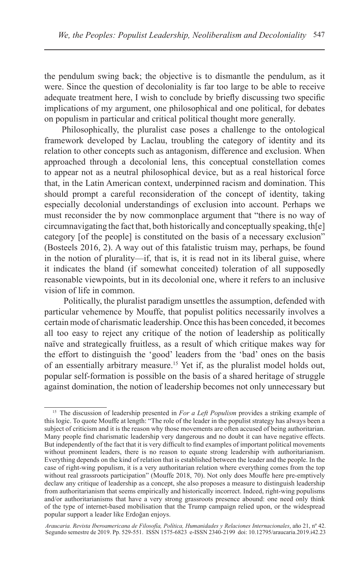the pendulum swing back; the objective is to dismantle the pendulum, as it were. Since the question of decoloniality is far too large to be able to receive adequate treatment here, I wish to conclude by briefly discussing two specific implications of my argument, one philosophical and one political, for debates on populism in particular and critical political thought more generally.

Philosophically, the pluralist case poses a challenge to the ontological framework developed by Laclau, troubling the category of identity and its relation to other concepts such as antagonism, difference and exclusion. When approached through a decolonial lens, this conceptual constellation comes to appear not as a neutral philosophical device, but as a real historical force that, in the Latin American context, underpinned racism and domination. This should prompt a careful reconsideration of the concept of identity, taking especially decolonial understandings of exclusion into account. Perhaps we must reconsider the by now commonplace argument that "there is no way of circumnavigating the fact that, both historically and conceptually speaking, th[e] category [of the people] is constituted on the basis of a necessary exclusion" (Bosteels 2016, 2). A way out of this fatalistic truism may, perhaps, be found in the notion of plurality—if, that is, it is read not in its liberal guise, where it indicates the bland (if somewhat conceited) toleration of all supposedly reasonable viewpoints, but in its decolonial one, where it refers to an inclusive vision of life in common.

 Politically, the pluralist paradigm unsettles the assumption, defended with particular vehemence by Mouffe, that populist politics necessarily involves a certain mode of charismatic leadership. Once this has been conceded, it becomes all too easy to reject any critique of the notion of leadership as politically naïve and strategically fruitless, as a result of which critique makes way for the effort to distinguish the 'good' leaders from the 'bad' ones on the basis of an essentially arbitrary measure.<sup>15</sup> Yet if, as the pluralist model holds out, popular self-formation is possible on the basis of a shared heritage of struggle against domination, the notion of leadership becomes not only unnecessary but

<sup>15</sup> The discussion of leadership presented in *For a Left Populism* provides a striking example of this logic. To quote Mouffe at length: "The role of the leader in the populist strategy has always been a subject of criticism and it is the reason why those movements are often accused of being authoritarian. Many people find charismatic leadership very dangerous and no doubt it can have negative effects. But independently of the fact that it is very difficult to find examples of important political movements without prominent leaders, there is no reason to equate strong leadership with authoritarianism. Everything depends on the kind of relation that is established between the leader and the people. In the case of right-wing populism, it is a very authoritarian relation where everything comes from the top without real grassroots participation" (Mouffe 2018, 70). Not only does Mouffe here pre-emptively declaw any critique of leadership as a concept, she also proposes a measure to distinguish leadership from authoritarianism that seems empirically and historically incorrect. Indeed, right-wing populisms and/or authoritarianisms that have a very strong grassroots presence abound: one need only think of the type of internet-based mobilisation that the Trump campaign relied upon, or the widespread popular support a leader like Erdoğan enjoys.

*Araucaria. Revista Iberoamericana de Filosofía, Política, Humanidades y Relaciones Internacionales*, año 21, nº 42. Segundo semestre de 2019. Pp. 529-551. ISSN 1575-6823 e-ISSN 2340-2199 doi: 10.12795/araucaria.2019.i42.23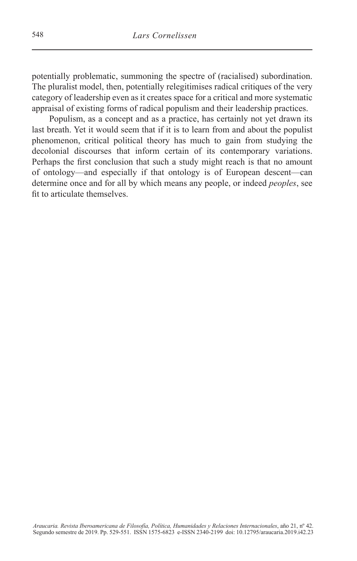potentially problematic, summoning the spectre of (racialised) subordination. The pluralist model, then, potentially relegitimises radical critiques of the very category of leadership even as it creates space for a critical and more systematic appraisal of existing forms of radical populism and their leadership practices.

Populism, as a concept and as a practice, has certainly not yet drawn its last breath. Yet it would seem that if it is to learn from and about the populist phenomenon, critical political theory has much to gain from studying the decolonial discourses that inform certain of its contemporary variations. Perhaps the first conclusion that such a study might reach is that no amount of ontology—and especially if that ontology is of European descent—can determine once and for all by which means any people, or indeed *peoples*, see fit to articulate themselves.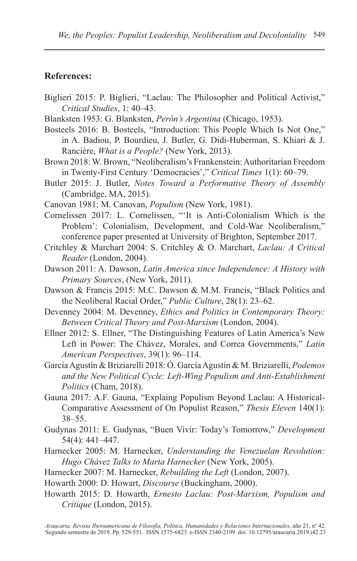## **References:**

- Biglieri 2015: P. Biglieri, "Laclau: The Philosopher and Political Activist," *Critical Studies*, 1: 40–43.
- Blanksten 1953: G. Blanksten, *Perón's Argentina* (Chicago, 1953).
- Bosteels 2016: B. Bosteels, "Introduction: This People Which Is Not One," in A. Badiou, P. Bourdieu, J. Butler, G. Didi-Huberman, S. Khiari & J. Rancière, *What is a People?* (New York, 2013).
- Brown 2018: W. Brown, "Neoliberalism's Frankenstein: Authoritarian Freedom in Twenty-First Century 'Democracies'," *Critical Times* 1(1): 60–79.
- Butler 2015: J. Butler, *Notes Toward a Performative Theory of Assembly* (Cambridge, MA, 2015).
- Canovan 1981: M. Canovan, *Populism* (New York, 1981).
- Cornelissen 2017: L. Cornelissen, "'It is Anti-Colonialism Which is the Problem': Colonialism, Development, and Cold-War Neoliberalism," conference paper presented at University of Brighton, September 2017.
- Critchley & Marchart 2004: S. Critchley & O. Marchart, *Laclau: A Critical Reader* (London, 2004).
- Dawson 2011: A. Dawson, *Latin America since Independence: A History with Primary Sources*, (New York, 2011).
- Dawson & Francis 2015: M.C. Dawson & M.M. Francis, "Black Politics and the Neoliberal Racial Order," *Public Culture*, 28(1): 23–62.
- Devenney 2004: M. Devenney, *Ethics and Politics in Contemporary Theory: Between Critical Theory and Post-Marxism* (London, 2004).
- Ellner 2012: S. Ellner, "The Distinguishing Features of Latin America's New Left in Power: The Chávez, Morales, and Correa Governments," *Latin American Perspectives*, 39(1): 96–114.
- García Agustín & Briziarelli 2018: Ó. García Agustín & M. Briziarelli, *Podemos and the New Political Cycle: Left-Wing Populism and Anti-Establishment Politics* (Cham, 2018).
- Gauna 2017: A.F. Gauna, "Explaing Populism Beyond Laclau: A Historical-Comparative Assessment of On Populist Reason," *Thesis Eleven* 140(1): 38–55.
- Gudynas 2011: E. Gudynas, "Buen Vivir: Today's Tomorrow," *Development* 54(4): 441–447.
- Harnecker 2005: M. Harnecker, *Understanding the Venezuelan Revolution: Hugo Chávez Talks to Marta Harnecker* (New York, 2005).
- Harnecker 2007: M. Harnecker, *Rebuilding the Left* (London, 2007).
- Howarth 2000: D. Howart, *Discourse* (Buckingham, 2000).
- Howarth 2015: D. Howarth, *Ernesto Laclau: Post-Marxism, Populism and Critique* (London, 2015).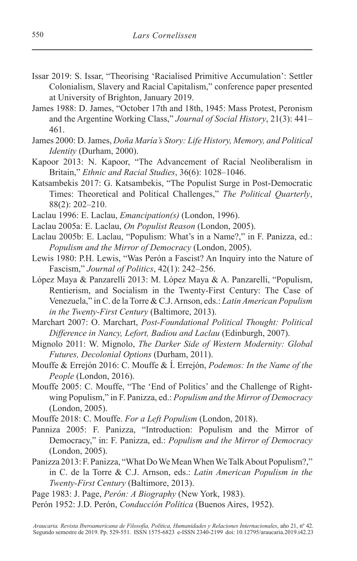- Issar 2019: S. Issar, "Theorising 'Racialised Primitive Accumulation': Settler Colonialism, Slavery and Racial Capitalism," conference paper presented at University of Brighton, January 2019.
- James 1988: D. James, "October 17th and 18th, 1945: Mass Protest, Peronism and the Argentine Working Class," *Journal of Social History*, 21(3): 441– 461.
- James 2000: D. James, *Doña María's Story: Life History, Memory, and Political Identity* (Durham, 2000).
- Kapoor 2013: N. Kapoor, "The Advancement of Racial Neoliberalism in Britain," *Ethnic and Racial Studies*, 36(6): 1028–1046.
- Katsambekis 2017: G. Katsambekis, "The Populist Surge in Post-Democratic Times: Theoretical and Political Challenges," *The Political Quarterly*, 88(2): 202–210.
- Laclau 1996: E. Laclau, *Emancipation(s)* (London, 1996).
- Laclau 2005a: E. Laclau, *On Populist Reason* (London, 2005).
- Laclau 2005b: E. Laclau, "Populism: What's in a Name?," in F. Panizza, ed.: *Populism and the Mirror of Democracy* (London, 2005).
- Lewis 1980: P.H. Lewis, "Was Perón a Fascist? An Inquiry into the Nature of Fascism," *Journal of Politics*, 42(1): 242–256.
- López Maya & Panzarelli 2013: M. López Maya & A. Panzarelli, "Populism, Rentierism, and Socialism in the Twenty-First Century: The Case of Venezuela," in C. de la Torre & C.J. Arnson, eds.: *Latin American Populism in the Twenty-First Century* (Baltimore, 2013).
- Marchart 2007: O. Marchart, *Post-Foundational Political Thought: Political Difference in Nancy, Lefort, Badiou and Laclau* (Edinburgh, 2007).
- Mignolo 2011: W. Mignolo, *The Darker Side of Western Modernity: Global Futures, Decolonial Options* (Durham, 2011).
- Mouffe & Errejón 2016: C. Mouffe & Í. Errejón, *Podemos: In the Name of the People* (London, 2016).
- Mouffe 2005: C. Mouffe, "The 'End of Politics' and the Challenge of Rightwing Populism," in F. Panizza, ed.: *Populism and the Mirror of Democracy* (London, 2005).
- Mouffe 2018: C. Mouffe. *For a Left Populism* (London, 2018).
- Panniza 2005: F. Panizza, "Introduction: Populism and the Mirror of Democracy," in: F. Panizza, ed.: *Populism and the Mirror of Democracy* (London, 2005).
- Panizza 2013: F. Panizza, "What Do We Mean When We Talk About Populism?," in C. de la Torre & C.J. Arnson, eds.: *Latin American Populism in the Twenty-First Century* (Baltimore, 2013).
- Page 1983: J. Page, *Perón: A Biography* (New York, 1983).
- Perón 1952: J.D. Perón, *Conducción Política* (Buenos Aires, 1952).